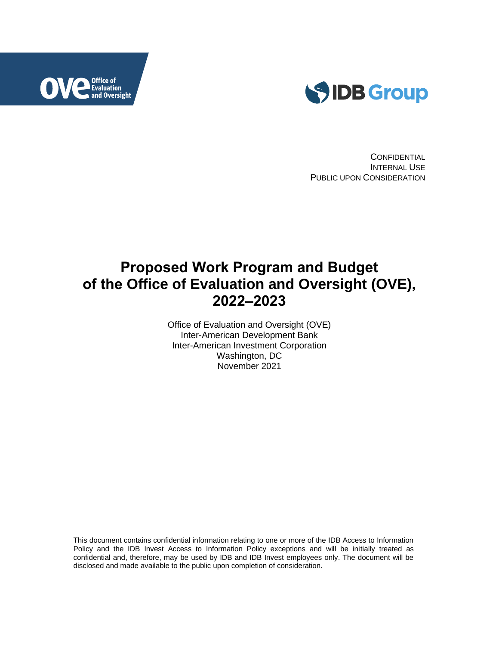



**CONFIDENTIAL** INTERNAL USE PUBLIC UPON CONSIDERATION

# **Proposed Work Program and Budget of the Office of Evaluation and Oversight (OVE), 2022–2023**

Office of Evaluation and Oversight (OVE) Inter-American Development Bank Inter-American Investment Corporation Washington, DC November 2021

This document contains confidential information relating to one or more of the IDB Access to Information Policy and the IDB Invest Access to Information Policy exceptions and will be initially treated as confidential and, therefore, may be used by IDB and IDB Invest employees only. The document will be disclosed and made available to the public upon completion of consideration.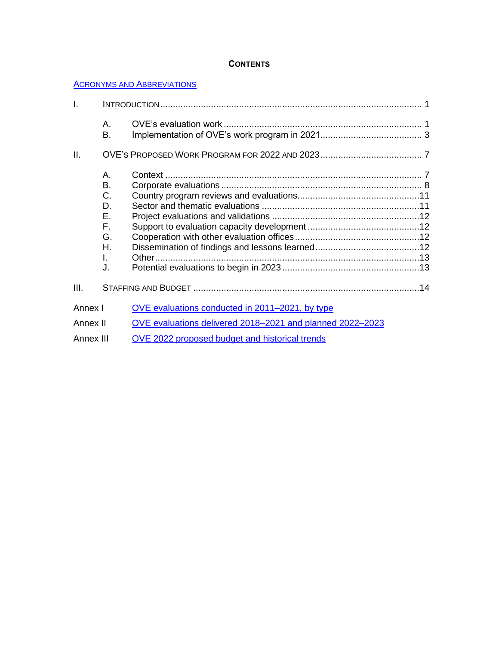## **CONTENTS**

#### **ACRONYMS AND ABBREVIATIONS**

| I.        |          |                                                           |  |
|-----------|----------|-----------------------------------------------------------|--|
|           | А.<br>Β. |                                                           |  |
| ΙΙ.       |          |                                                           |  |
|           | Α.       |                                                           |  |
|           | B.       |                                                           |  |
|           | C.       |                                                           |  |
|           | D.       |                                                           |  |
|           | Е.       |                                                           |  |
|           | F.       |                                                           |  |
|           | G.       |                                                           |  |
|           | Η.       |                                                           |  |
|           | L        |                                                           |  |
|           | J.       |                                                           |  |
| III.      |          |                                                           |  |
| Annex I   |          | OVE evaluations conducted in 2011–2021, by type           |  |
| Annex II  |          | OVE evaluations delivered 2018-2021 and planned 2022-2023 |  |
| Annex III |          | OVE 2022 proposed budget and historical trends            |  |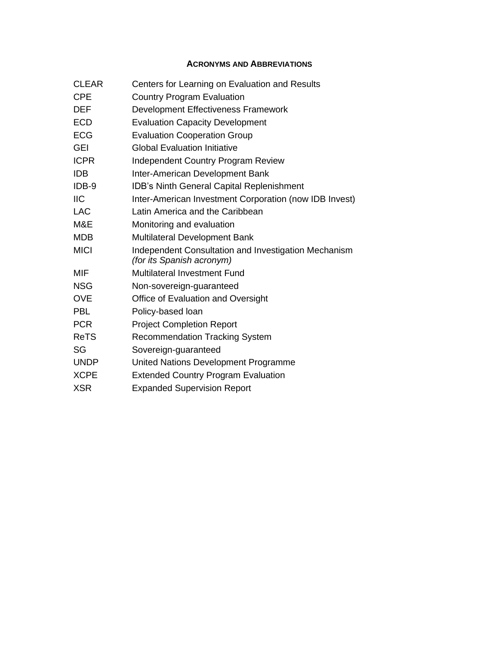# **ACRONYMS AND ABBREVIATIONS**

| Centers for Learning on Evaluation and Results                                    |
|-----------------------------------------------------------------------------------|
| <b>Country Program Evaluation</b>                                                 |
| Development Effectiveness Framework                                               |
| <b>Evaluation Capacity Development</b>                                            |
| <b>Evaluation Cooperation Group</b>                                               |
| <b>Global Evaluation Initiative</b>                                               |
| <b>Independent Country Program Review</b>                                         |
| Inter-American Development Bank                                                   |
| IDB's Ninth General Capital Replenishment                                         |
| Inter-American Investment Corporation (now IDB Invest)                            |
| Latin America and the Caribbean                                                   |
| Monitoring and evaluation                                                         |
| <b>Multilateral Development Bank</b>                                              |
| Independent Consultation and Investigation Mechanism<br>(for its Spanish acronym) |
| <b>Multilateral Investment Fund</b>                                               |
| Non-sovereign-guaranteed                                                          |
| Office of Evaluation and Oversight                                                |
| Policy-based loan                                                                 |
| <b>Project Completion Report</b>                                                  |
| <b>Recommendation Tracking System</b>                                             |
| Sovereign-guaranteed                                                              |
| United Nations Development Programme                                              |
| <b>Extended Country Program Evaluation</b>                                        |
| <b>Expanded Supervision Report</b>                                                |
|                                                                                   |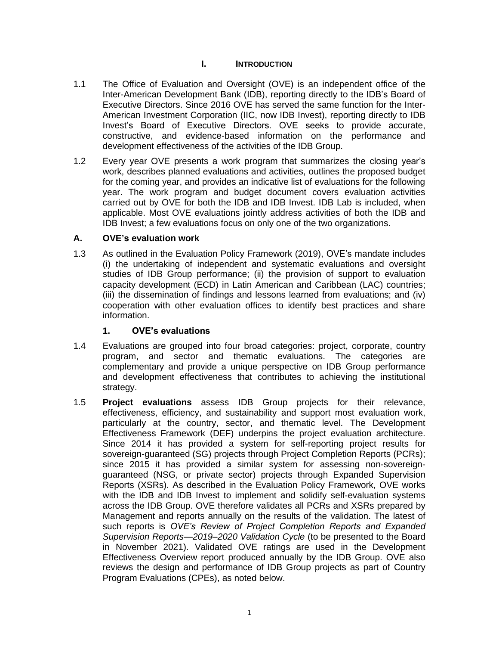## **I. INTRODUCTION**

- 1.1 The Office of Evaluation and Oversight (OVE) is an independent office of the Inter-American Development Bank (IDB), reporting directly to the IDB's Board of Executive Directors. Since 2016 OVE has served the same function for the Inter-American Investment Corporation (IIC, now IDB Invest), reporting directly to IDB Invest's Board of Executive Directors. OVE seeks to provide accurate, constructive, and evidence-based information on the performance and development effectiveness of the activities of the IDB Group.
- 1.2 Every year OVE presents a work program that summarizes the closing year's work, describes planned evaluations and activities, outlines the proposed budget for the coming year, and provides an indicative list of evaluations for the following year. The work program and budget document covers evaluation activities carried out by OVE for both the IDB and IDB Invest. IDB Lab is included, when applicable. Most OVE evaluations jointly address activities of both the IDB and IDB Invest; a few evaluations focus on only one of the two organizations.

## **A. OVE's evaluation work**

1.3 As outlined in the Evaluation Policy Framework (2019), OVE's mandate includes (i) the undertaking of independent and systematic evaluations and oversight studies of IDB Group performance; (ii) the provision of support to evaluation capacity development (ECD) in Latin American and Caribbean (LAC) countries; (iii) the dissemination of findings and lessons learned from evaluations; and (iv) cooperation with other evaluation offices to identify best practices and share information.

## **1. OVE's evaluations**

- 1.4 Evaluations are grouped into four broad categories: project, corporate, country program, and sector and thematic evaluations. The categories are complementary and provide a unique perspective on IDB Group performance and development effectiveness that contributes to achieving the institutional strategy.
- 1.5 **Project evaluations** assess IDB Group projects for their relevance, effectiveness, efficiency, and sustainability and support most evaluation work, particularly at the country, sector, and thematic level. The Development Effectiveness Framework (DEF) underpins the project evaluation architecture. Since 2014 it has provided a system for self-reporting project results for sovereign-guaranteed (SG) projects through Project Completion Reports (PCRs); since 2015 it has provided a similar system for assessing non-sovereignguaranteed (NSG, or private sector) projects through Expanded Supervision Reports (XSRs). As described in the Evaluation Policy Framework, OVE works with the IDB and IDB Invest to implement and solidify self-evaluation systems across the IDB Group. OVE therefore validates all PCRs and XSRs prepared by Management and reports annually on the results of the validation. The latest of such reports is *OVE's Review of Project Completion Reports and Expanded Supervision Reports—2019–2020 Validation Cycle* (to be presented to the Board in November 2021). Validated OVE ratings are used in the Development Effectiveness Overview report produced annually by the IDB Group. OVE also reviews the design and performance of IDB Group projects as part of Country Program Evaluations (CPEs), as noted below.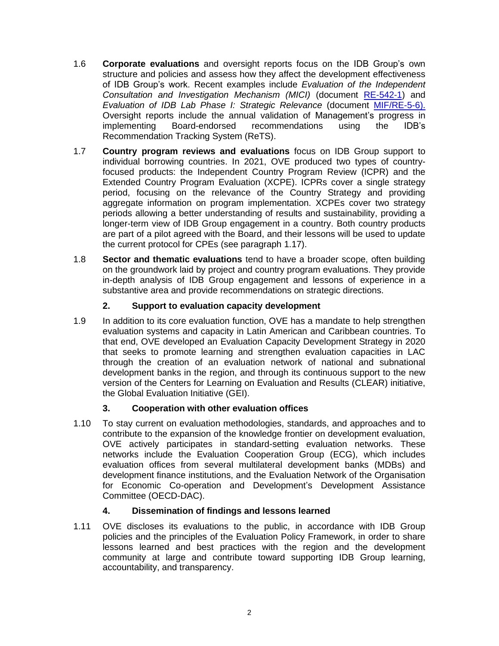- 1.6 **Corporate evaluations** and oversight reports focus on the IDB Group's own structure and policies and assess how they affect the development effectiveness of IDB Group's work. Recent examples include *Evaluation of the Independent Consultation and Investigation Mechanism (MICI)* (document [RE-542-1\)](http://sec.iadb.org/Site/Documents/DOC_Detail.aspx?pSecRegN=RE-542-1) and *Evaluation of IDB Lab Phase I: Strategic Relevance* (document [MIF/RE-5-6\)](http://sec.iadb.org/Site/Documents/DOC_Detail.aspx?pSecRegN=MIF/RE-5-6). Oversight reports include the annual validation of Management's progress in implementing Board-endorsed recommendations using the IDB's Recommendation Tracking System (ReTS).
- 1.7 **Country program reviews and evaluations** focus on IDB Group support to individual borrowing countries. In 2021, OVE produced two types of countryfocused products: the Independent Country Program Review (ICPR) and the Extended Country Program Evaluation (XCPE). ICPRs cover a single strategy period, focusing on the relevance of the Country Strategy and providing aggregate information on program implementation. XCPEs cover two strategy periods allowing a better understanding of results and sustainability, providing a longer-term view of IDB Group engagement in a country. Both country products are part of a pilot agreed with the Board, and their lessons will be used to update the current protocol for CPEs (see paragraph 1.17).
- 1.8 **Sector and thematic evaluations** tend to have a broader scope, often building on the groundwork laid by project and country program evaluations. They provide in-depth analysis of IDB Group engagement and lessons of experience in a substantive area and provide recommendations on strategic directions.

# **2. Support to evaluation capacity development**

1.9 In addition to its core evaluation function, OVE has a mandate to help strengthen evaluation systems and capacity in Latin American and Caribbean countries. To that end, OVE developed an Evaluation Capacity Development Strategy in 2020 that seeks to promote learning and strengthen evaluation capacities in LAC through the creation of an evaluation network of national and subnational development banks in the region, and through its continuous support to the new version of the Centers for Learning on Evaluation and Results (CLEAR) initiative, the Global Evaluation Initiative (GEI).

# **3. Cooperation with other evaluation offices**

1.10 To stay current on evaluation methodologies, standards, and approaches and to contribute to the expansion of the knowledge frontier on development evaluation, OVE actively participates in standard-setting evaluation networks. These networks include the Evaluation Cooperation Group (ECG), which includes evaluation offices from several multilateral development banks (MDBs) and development finance institutions, and the Evaluation Network of the Organisation for Economic Co-operation and Development's Development Assistance Committee (OECD-DAC).

# **4. Dissemination of findings and lessons learned**

1.11 OVE discloses its evaluations to the public, in accordance with IDB Group policies and the principles of the Evaluation Policy Framework, in order to share lessons learned and best practices with the region and the development community at large and contribute toward supporting IDB Group learning, accountability, and transparency.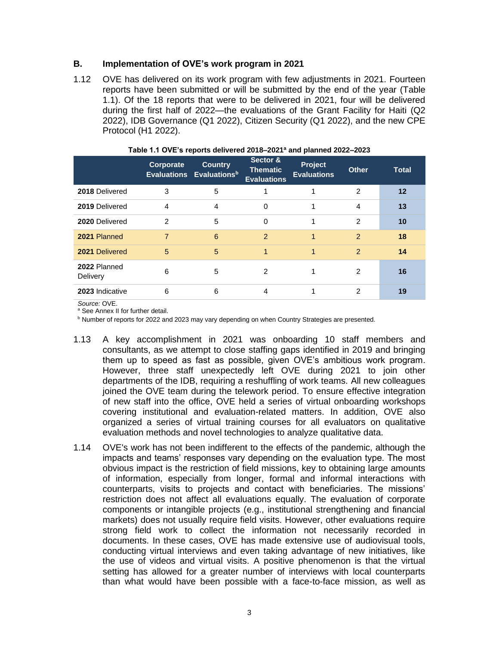## **B. Implementation of OVE's work program in 2021**

1.12 OVE has delivered on its work program with few adjustments in 2021. Fourteen reports have been submitted or will be submitted by the end of the year (Table 1.1). Of the 18 reports that were to be delivered in 2021, four will be delivered during the first half of 2022—the evaluations of the Grant Facility for Haiti (Q2 2022), IDB Governance (Q1 2022), Citizen Security (Q1 2022), and the new CPE Protocol (H1 2022).

|                          | Corporate      | <b>Country</b><br>Evaluations Evaluations <sup>b</sup> | Sector &<br><b>Thematic</b><br><b>Evaluations</b> | <b>Project</b><br><b>Evaluations</b> | <b>Other</b>  | <b>Total</b> |
|--------------------------|----------------|--------------------------------------------------------|---------------------------------------------------|--------------------------------------|---------------|--------------|
| 2018 Delivered           | 3              | 5                                                      |                                                   |                                      | $\mathcal{P}$ | $12 \,$      |
| 2019 Delivered           | 4              | 4                                                      | $\Omega$                                          |                                      | 4             | 13           |
| 2020 Delivered           | $\mathcal{P}$  | 5                                                      | $\Omega$                                          |                                      | $\mathcal{P}$ | 10           |
| 2021 Planned             | $\overline{7}$ | 6                                                      | $\mathcal{P}$                                     |                                      | $\mathcal{P}$ | 18           |
| 2021 Delivered           | 5              | 5                                                      |                                                   |                                      | $\mathcal{P}$ | 14           |
| 2022 Planned<br>Delivery | 6              | 5                                                      | $\mathcal{P}$                                     |                                      | 2             | 16           |
| 2023 Indicative          | 6              | 6                                                      | 4                                                 |                                      | 2             | 19           |

#### **Table 1.1 OVE's reports delivered 2018–2021<sup>a</sup> and planned 2022–2023**

*Source:* OVE.

a See Annex II for further detail.

**b Number of reports for 2022 and 2023 may vary depending on when Country Strategies are presented.** 

- 1.13 A key accomplishment in 2021 was onboarding 10 staff members and consultants, as we attempt to close staffing gaps identified in 2019 and bringing them up to speed as fast as possible, given OVE's ambitious work program. However, three staff unexpectedly left OVE during 2021 to join other departments of the IDB, requiring a reshuffling of work teams. All new colleagues joined the OVE team during the telework period. To ensure effective integration of new staff into the office, OVE held a series of virtual onboarding workshops covering institutional and evaluation-related matters. In addition, OVE also organized a series of virtual training courses for all evaluators on qualitative evaluation methods and novel technologies to analyze qualitative data.
- 1.14 OVE's work has not been indifferent to the effects of the pandemic, although the impacts and teams' responses vary depending on the evaluation type. The most obvious impact is the restriction of field missions, key to obtaining large amounts of information, especially from longer, formal and informal interactions with counterparts, visits to projects and contact with beneficiaries. The missions' restriction does not affect all evaluations equally. The evaluation of corporate components or intangible projects (e.g., institutional strengthening and financial markets) does not usually require field visits. However, other evaluations require strong field work to collect the information not necessarily recorded in documents. In these cases, OVE has made extensive use of audiovisual tools, conducting virtual interviews and even taking advantage of new initiatives, like the use of videos and virtual visits. A positive phenomenon is that the virtual setting has allowed for a greater number of interviews with local counterparts than what would have been possible with a face-to-face mission, as well as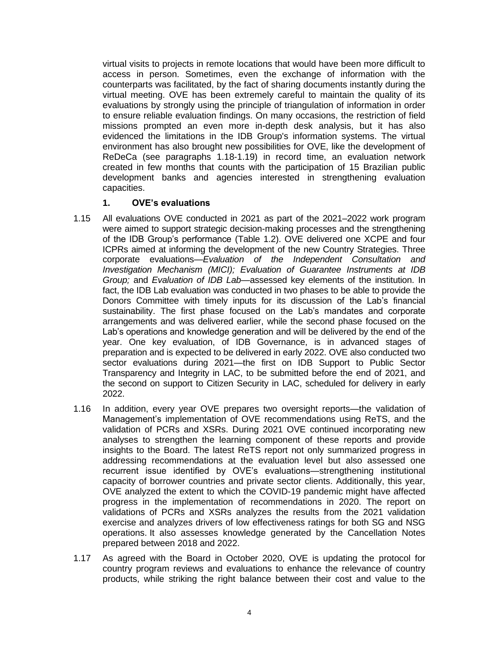virtual visits to projects in remote locations that would have been more difficult to access in person. Sometimes, even the exchange of information with the counterparts was facilitated, by the fact of sharing documents instantly during the virtual meeting. OVE has been extremely careful to maintain the quality of its evaluations by strongly using the principle of triangulation of information in order to ensure reliable evaluation findings. On many occasions, the restriction of field missions prompted an even more in-depth desk analysis, but it has also evidenced the limitations in the IDB Group's information systems. The virtual environment has also brought new possibilities for OVE, like the development of ReDeCa (see paragraphs 1.18-1.19) in record time, an evaluation network created in few months that counts with the participation of 15 Brazilian public development banks and agencies interested in strengthening evaluation capacities.

## **1. OVE's evaluations**

- 1.15 All evaluations OVE conducted in 2021 as part of the 2021–2022 work program were aimed to support strategic decision-making processes and the strengthening of the IDB Group's performance (Table 1.2). OVE delivered one XCPE and four ICPRs aimed at informing the development of the new Country Strategies. Three corporate evaluations—*Evaluation of the Independent Consultation and Investigation Mechanism (MICI); Evaluation of Guarantee Instruments at IDB Group;* and *Evaluation of IDB Lab*—assessed key elements of the institution. In fact, the IDB Lab evaluation was conducted in two phases to be able to provide the Donors Committee with timely inputs for its discussion of the Lab's financial sustainability. The first phase focused on the Lab's mandates and corporate arrangements and was delivered earlier, while the second phase focused on the Lab's operations and knowledge generation and will be delivered by the end of the year. One key evaluation, of IDB Governance, is in advanced stages of preparation and is expected to be delivered in early 2022. OVE also conducted two sector evaluations during 2021—the first on IDB Support to Public Sector Transparency and Integrity in LAC, to be submitted before the end of 2021, and the second on support to Citizen Security in LAC, scheduled for delivery in early 2022.
- 1.16 In addition, every year OVE prepares two oversight reports—the validation of Management's implementation of OVE recommendations using ReTS, and the validation of PCRs and XSRs. During 2021 OVE continued incorporating new analyses to strengthen the learning component of these reports and provide insights to the Board. The latest ReTS report not only summarized progress in addressing recommendations at the evaluation level but also assessed one recurrent issue identified by OVE's evaluations—strengthening institutional capacity of borrower countries and private sector clients. Additionally, this year, OVE analyzed the extent to which the COVID-19 pandemic might have affected progress in the implementation of recommendations in 2020. The report on validations of PCRs and XSRs analyzes the results from the 2021 validation exercise and analyzes drivers of low effectiveness ratings for both SG and NSG operations. It also assesses knowledge generated by the Cancellation Notes prepared between 2018 and 2022.
- 1.17 As agreed with the Board in October 2020, OVE is updating the protocol for country program reviews and evaluations to enhance the relevance of country products, while striking the right balance between their cost and value to the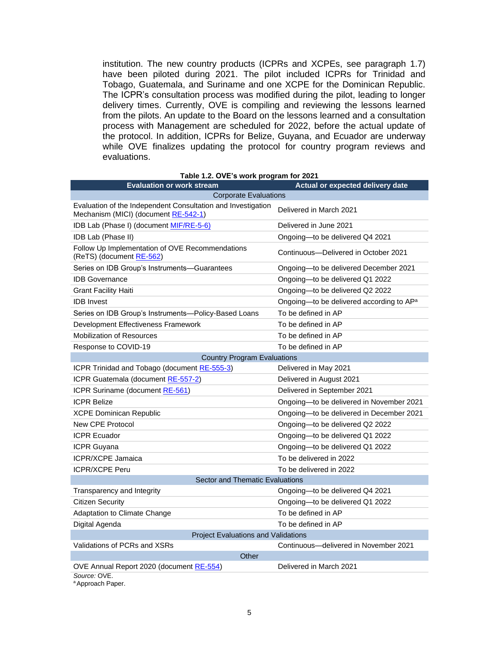institution. The new country products (ICPRs and XCPEs, see paragraph 1.7) have been piloted during 2021. The pilot included ICPRs for Trinidad and Tobago, Guatemala, and Suriname and one XCPE for the Dominican Republic. The ICPR's consultation process was modified during the pilot, leading to longer delivery times. Currently, OVE is compiling and reviewing the lessons learned from the pilots. An update to the Board on the lessons learned and a consultation process with Management are scheduled for 2022, before the actual update of the protocol. In addition, ICPRs for Belize, Guyana, and Ecuador are underway while OVE finalizes updating the protocol for country program reviews and evaluations.

| <b>Evaluation or work stream</b>                                                                     | Actual or expected delivery date                     |  |  |  |  |  |  |
|------------------------------------------------------------------------------------------------------|------------------------------------------------------|--|--|--|--|--|--|
| <b>Corporate Evaluations</b>                                                                         |                                                      |  |  |  |  |  |  |
| Evaluation of the Independent Consultation and Investigation<br>Mechanism (MICI) (document RE-542-1) | Delivered in March 2021                              |  |  |  |  |  |  |
| IDB Lab (Phase I) (document MIF/RE-5-6)                                                              | Delivered in June 2021                               |  |  |  |  |  |  |
| IDB Lab (Phase II)                                                                                   | Ongoing-to be delivered Q4 2021                      |  |  |  |  |  |  |
| Follow Up Implementation of OVE Recommendations<br>(ReTS) (document RE-562)                          | Continuous---Delivered in October 2021               |  |  |  |  |  |  |
| Series on IDB Group's Instruments-Guarantees                                                         | Ongoing-to be delivered December 2021                |  |  |  |  |  |  |
| <b>IDB</b> Governance                                                                                | Ongoing-to be delivered Q1 2022                      |  |  |  |  |  |  |
| <b>Grant Facility Haiti</b>                                                                          | Ongoing-to be delivered Q2 2022                      |  |  |  |  |  |  |
| <b>IDB</b> Invest                                                                                    | Ongoing-to be delivered according to AP <sup>a</sup> |  |  |  |  |  |  |
| Series on IDB Group's Instruments-Policy-Based Loans                                                 | To be defined in AP                                  |  |  |  |  |  |  |
| Development Effectiveness Framework                                                                  | To be defined in AP                                  |  |  |  |  |  |  |
| <b>Mobilization of Resources</b>                                                                     | To be defined in AP                                  |  |  |  |  |  |  |
| Response to COVID-19                                                                                 | To be defined in AP                                  |  |  |  |  |  |  |
| <b>Country Program Evaluations</b>                                                                   |                                                      |  |  |  |  |  |  |
| ICPR Trinidad and Tobago (document RE-555-3)                                                         | Delivered in May 2021                                |  |  |  |  |  |  |
| ICPR Guatemala (document RE-557-2)                                                                   | Delivered in August 2021                             |  |  |  |  |  |  |
| ICPR Suriname (document RE-561)                                                                      | Delivered in September 2021                          |  |  |  |  |  |  |
| <b>ICPR Belize</b>                                                                                   | Ongoing-to be delivered in November 2021             |  |  |  |  |  |  |
| <b>XCPE Dominican Republic</b>                                                                       | Ongoing-to be delivered in December 2021             |  |  |  |  |  |  |
| New CPE Protocol                                                                                     | Ongoing-to be delivered Q2 2022                      |  |  |  |  |  |  |
| <b>ICPR Ecuador</b>                                                                                  | Ongoing-to be delivered Q1 2022                      |  |  |  |  |  |  |
| <b>ICPR Guyana</b>                                                                                   | Ongoing-to be delivered Q1 2022                      |  |  |  |  |  |  |
| <b>ICPR/XCPE Jamaica</b>                                                                             | To be delivered in 2022                              |  |  |  |  |  |  |
| <b>ICPR/XCPE Peru</b>                                                                                | To be delivered in 2022                              |  |  |  |  |  |  |
| Sector and Thematic Evaluations                                                                      |                                                      |  |  |  |  |  |  |
| Transparency and Integrity                                                                           | Ongoing-to be delivered Q4 2021                      |  |  |  |  |  |  |
| <b>Citizen Security</b>                                                                              | Ongoing-to be delivered Q1 2022                      |  |  |  |  |  |  |
| Adaptation to Climate Change                                                                         | To be defined in AP                                  |  |  |  |  |  |  |
| Digital Agenda                                                                                       | To be defined in AP                                  |  |  |  |  |  |  |
| <b>Project Evaluations and Validations</b>                                                           |                                                      |  |  |  |  |  |  |
| Validations of PCRs and XSRs                                                                         | Continuous-delivered in November 2021                |  |  |  |  |  |  |
| Other                                                                                                |                                                      |  |  |  |  |  |  |
| OVE Annual Report 2020 (document RE-554)                                                             | Delivered in March 2021                              |  |  |  |  |  |  |
| Source: OVE.                                                                                         |                                                      |  |  |  |  |  |  |

<sup>a</sup> Approach Paper.

#### **Table 1.2. OVE's work program for 2021**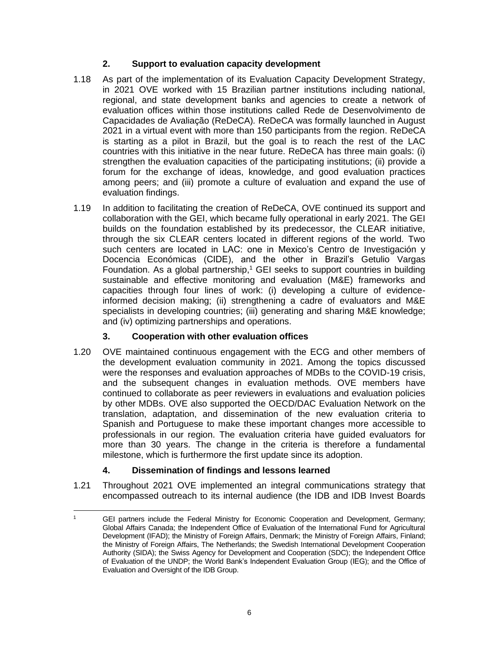# **2. Support to evaluation capacity development**

- 1.18 As part of the implementation of its Evaluation Capacity Development Strategy, in 2021 OVE worked with 15 Brazilian partner institutions including national, regional, and state development banks and agencies to create a network of evaluation offices within those institutions called Rede de Desenvolvimento de Capacidades de Avaliação (ReDeCA)*.* ReDeCA was formally launched in August 2021 in a virtual event with more than 150 participants from the region. ReDeCA is starting as a pilot in Brazil, but the goal is to reach the rest of the LAC countries with this initiative in the near future. ReDeCA has three main goals: (i) strengthen the evaluation capacities of the participating institutions; (ii) provide a forum for the exchange of ideas, knowledge, and good evaluation practices among peers; and (iii) promote a culture of evaluation and expand the use of evaluation findings.
- 1.19 In addition to facilitating the creation of ReDeCA, OVE continued its support and collaboration with the GEI, which became fully operational in early 2021. The GEI builds on the foundation established by its predecessor, the CLEAR initiative, through the six CLEAR centers located in different regions of the world. Two such centers are located in LAC: one in Mexico's Centro de Investigación y Docencia Económicas (CIDE), and the other in Brazil's Getulio Vargas Foundation. As a global partnership,<sup>1</sup> GEI seeks to support countries in building sustainable and effective monitoring and evaluation (M&E) frameworks and capacities through four lines of work: (i) developing a culture of evidenceinformed decision making; (ii) strengthening a cadre of evaluators and M&E specialists in developing countries; (iii) generating and sharing M&E knowledge; and (iv) optimizing partnerships and operations.

# **3. Cooperation with other evaluation offices**

1.20 OVE maintained continuous engagement with the ECG and other members of the development evaluation community in 2021. Among the topics discussed were the responses and evaluation approaches of MDBs to the COVID-19 crisis, and the subsequent changes in evaluation methods. OVE members have continued to collaborate as peer reviewers in evaluations and evaluation policies by other MDBs. OVE also supported the OECD/DAC Evaluation Network on the translation, adaptation, and dissemination of the new evaluation criteria to Spanish and Portuguese to make these important changes more accessible to professionals in our region. The evaluation criteria have guided evaluators for more than 30 years. The change in the criteria is therefore a fundamental milestone, which is furthermore the first update since its adoption.

# **4. Dissemination of findings and lessons learned**

1.21 Throughout 2021 OVE implemented an integral communications strategy that encompassed outreach to its internal audience (the IDB and IDB Invest Boards

<sup>1</sup> GEI partners include the Federal Ministry for Economic Cooperation and Development, Germany; Global Affairs Canada; the Independent Office of Evaluation of the International Fund for Agricultural Development (IFAD); the Ministry of Foreign Affairs, Denmark; the Ministry of Foreign Affairs, Finland; the Ministry of Foreign Affairs, The Netherlands; the Swedish International Development Cooperation Authority (SIDA); the Swiss Agency for Development and Cooperation (SDC); the Independent Office of Evaluation of the UNDP; the World Bank's Independent Evaluation Group (IEG); and the Office of Evaluation and Oversight of the IDB Group.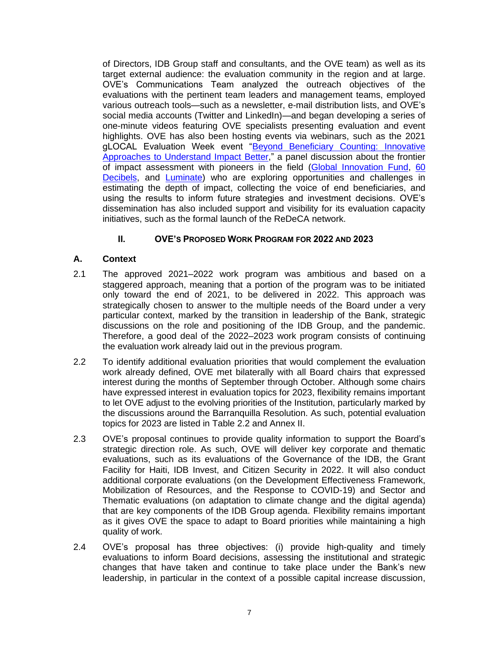of Directors, IDB Group staff and consultants, and the OVE team) as well as its target external audience: the evaluation community in the region and at large. OVE's Communications Team analyzed the outreach objectives of the evaluations with the pertinent team leaders and management teams, employed various outreach tools—such as a newsletter, e-mail distribution lists, and OVE's social media accounts (Twitter and LinkedIn)—and began developing a series of one-minute videos featuring OVE specialists presenting evaluation and event highlights. OVE has also been hosting events via webinars, such as the 2021 gLOCAL Evaluation Week event "Beyond Beneficiary Counting: Innovative [Approaches to Understand Impact Better,](https://www.youtube.com/watch?v=rsuEL92T3H0)" a panel discussion about the frontier of impact assessment with pioneers in the field [\(Global Innovation Fund,](https://www.linkedin.com/company/global-innovation-fund/) [60](https://www.linkedin.com/company/60-decibels/)  [Decibels,](https://www.linkedin.com/company/60-decibels/) and [Luminate\)](https://www.linkedin.com/company/luminategroup/) who are exploring opportunities and challenges in estimating the depth of impact, collecting the voice of end beneficiaries, and using the results to inform future strategies and investment decisions. OVE's dissemination has also included support and visibility for its evaluation capacity initiatives, such as the formal launch of the ReDeCA network.

# **II. OVE'S PROPOSED WORK PROGRAM FOR 2022 AND 2023**

# **A. Context**

- 2.1 The approved 2021–2022 work program was ambitious and based on a staggered approach, meaning that a portion of the program was to be initiated only toward the end of 2021, to be delivered in 2022. This approach was strategically chosen to answer to the multiple needs of the Board under a very particular context, marked by the transition in leadership of the Bank, strategic discussions on the role and positioning of the IDB Group, and the pandemic. Therefore, a good deal of the 2022–2023 work program consists of continuing the evaluation work already laid out in the previous program.
- 2.2 To identify additional evaluation priorities that would complement the evaluation work already defined, OVE met bilaterally with all Board chairs that expressed interest during the months of September through October. Although some chairs have expressed interest in evaluation topics for 2023, flexibility remains important to let OVE adjust to the evolving priorities of the Institution, particularly marked by the discussions around the Barranquilla Resolution. As such, potential evaluation topics for 2023 are listed in Table 2.2 and Annex II.
- 2.3 OVE's proposal continues to provide quality information to support the Board's strategic direction role. As such, OVE will deliver key corporate and thematic evaluations, such as its evaluations of the Governance of the IDB, the Grant Facility for Haiti, IDB Invest, and Citizen Security in 2022. It will also conduct additional corporate evaluations (on the Development Effectiveness Framework, Mobilization of Resources, and the Response to COVID-19) and Sector and Thematic evaluations (on adaptation to climate change and the digital agenda) that are key components of the IDB Group agenda. Flexibility remains important as it gives OVE the space to adapt to Board priorities while maintaining a high quality of work.
- 2.4 OVE's proposal has three objectives: (i) provide high-quality and timely evaluations to inform Board decisions, assessing the institutional and strategic changes that have taken and continue to take place under the Bank's new leadership, in particular in the context of a possible capital increase discussion,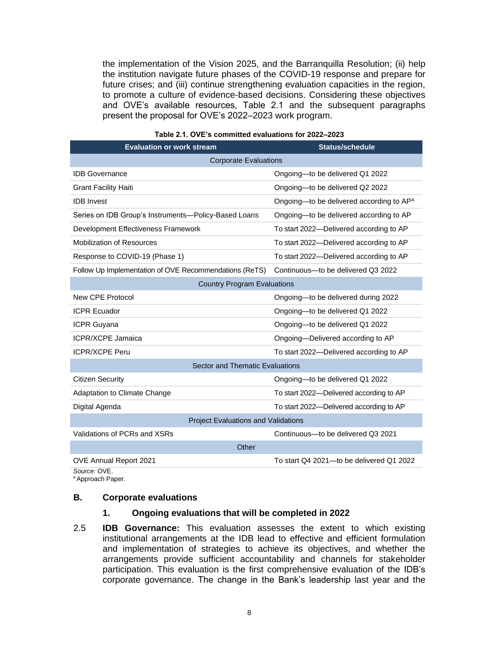the implementation of the Vision 2025, and the Barranquilla Resolution; (ii) help the institution navigate future phases of the COVID-19 response and prepare for future crises; and (iii) continue strengthening evaluation capacities in the region, to promote a culture of evidence-based decisions. Considering these objectives and OVE's available resources, Table 2.1 and the subsequent paragraphs present the proposal for OVE's 2022–2023 work program.

| <b>Evaluation or work stream</b>                       | <b>Status/schedule</b>                               |  |  |  |  |  |
|--------------------------------------------------------|------------------------------------------------------|--|--|--|--|--|
| <b>Corporate Evaluations</b>                           |                                                      |  |  |  |  |  |
| <b>IDB</b> Governance                                  | Ongoing-to be delivered Q1 2022                      |  |  |  |  |  |
| <b>Grant Facility Haiti</b>                            | Ongoing-to be delivered Q2 2022                      |  |  |  |  |  |
| <b>IDB</b> Invest                                      | Ongoing—to be delivered according to AP <sup>a</sup> |  |  |  |  |  |
| Series on IDB Group's Instruments-Policy-Based Loans   | Ongoing-to be delivered according to AP              |  |  |  |  |  |
| Development Effectiveness Framework                    | To start 2022-Delivered according to AP              |  |  |  |  |  |
| <b>Mobilization of Resources</b>                       | To start 2022-Delivered according to AP              |  |  |  |  |  |
| Response to COVID-19 (Phase 1)                         | To start 2022-Delivered according to AP              |  |  |  |  |  |
| Follow Up Implementation of OVE Recommendations (ReTS) | Continuous-to be delivered Q3 2022                   |  |  |  |  |  |
| <b>Country Program Evaluations</b>                     |                                                      |  |  |  |  |  |
| New CPE Protocol                                       | Ongoing-to be delivered during 2022                  |  |  |  |  |  |
| <b>ICPR Ecuador</b>                                    | Ongoing-to be delivered Q1 2022                      |  |  |  |  |  |
| <b>ICPR Guyana</b>                                     | Ongoing-to be delivered Q1 2022                      |  |  |  |  |  |
| <b>ICPR/XCPE Jamaica</b>                               | Ongoing-Delivered according to AP                    |  |  |  |  |  |
| <b>ICPR/XCPE Peru</b>                                  | To start 2022-Delivered according to AP              |  |  |  |  |  |
| Sector and Thematic Evaluations                        |                                                      |  |  |  |  |  |
| <b>Citizen Security</b>                                | Ongoing-to be delivered Q1 2022                      |  |  |  |  |  |
| Adaptation to Climate Change                           | To start 2022-Delivered according to AP              |  |  |  |  |  |
| Digital Agenda                                         | To start 2022-Delivered according to AP              |  |  |  |  |  |
| <b>Project Evaluations and Validations</b>             |                                                      |  |  |  |  |  |
| Validations of PCRs and XSRs                           | Continuous-to be delivered Q3 2021                   |  |  |  |  |  |
| Other                                                  |                                                      |  |  |  |  |  |
| OVE Annual Report 2021                                 | To start Q4 2021-to be delivered Q1 2022             |  |  |  |  |  |

#### **Table 2.1. OVE's committed evaluations for 2022–2023**

*Source:* OVE.

<sup>a</sup> Approach Paper.

#### **B. Corporate evaluations**

#### **1. Ongoing evaluations that will be completed in 2022**

2.5 **IDB Governance:** This evaluation assesses the extent to which existing institutional arrangements at the IDB lead to effective and efficient formulation and implementation of strategies to achieve its objectives, and whether the arrangements provide sufficient accountability and channels for stakeholder participation. This evaluation is the first comprehensive evaluation of the IDB's corporate governance. The change in the Bank's leadership last year and the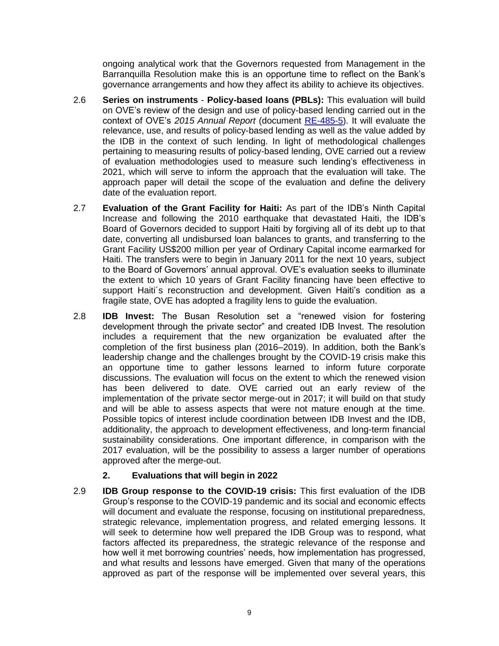ongoing analytical work that the Governors requested from Management in the Barranquilla Resolution make this is an opportune time to reflect on the Bank's governance arrangements and how they affect its ability to achieve its objectives.

- 2.6 **Series on instruments Policy-based loans (PBLs):** This evaluation will build on OVE's review of the design and use of policy-based lending carried out in the context of OVE's *2015 Annual Report* (document [RE-485-5\)](http://sec.iadb.org/Site/Documents/DOC_Detail.aspx?pSecRegN=RE-485-8). It will evaluate the relevance, use, and results of policy-based lending as well as the value added by the IDB in the context of such lending. In light of methodological challenges pertaining to measuring results of policy-based lending, OVE carried out a review of evaluation methodologies used to measure such lending's effectiveness in 2021, which will serve to inform the approach that the evaluation will take. The approach paper will detail the scope of the evaluation and define the delivery date of the evaluation report.
- 2.7 **Evaluation of the Grant Facility for Haiti:** As part of the IDB's Ninth Capital Increase and following the 2010 earthquake that devastated Haiti, the IDB's Board of Governors decided to support Haiti by forgiving all of its debt up to that date, converting all undisbursed loan balances to grants, and transferring to the Grant Facility US\$200 million per year of Ordinary Capital income earmarked for Haiti. The transfers were to begin in January 2011 for the next 10 years, subject to the Board of Governors' annual approval. OVE's evaluation seeks to illuminate the extent to which 10 years of Grant Facility financing have been effective to support Haiti´s reconstruction and development. Given Haiti's condition as a fragile state, OVE has adopted a fragility lens to guide the evaluation.
- 2.8 **IDB Invest:** The Busan Resolution set a "renewed vision for fostering development through the private sector" and created IDB Invest. The resolution includes a requirement that the new organization be evaluated after the completion of the first business plan (2016–2019). In addition, both the Bank's leadership change and the challenges brought by the COVID-19 crisis make this an opportune time to gather lessons learned to inform future corporate discussions. The evaluation will focus on the extent to which the renewed vision has been delivered to date. OVE carried out an early review of the implementation of the private sector merge-out in 2017; it will build on that study and will be able to assess aspects that were not mature enough at the time. Possible topics of interest include coordination between IDB Invest and the IDB, additionality, the approach to development effectiveness, and long-term financial sustainability considerations. One important difference, in comparison with the 2017 evaluation, will be the possibility to assess a larger number of operations approved after the merge-out.

# **2. Evaluations that will begin in 2022**

2.9 **IDB Group response to the COVID-19 crisis:** This first evaluation of the IDB Group's response to the COVID-19 pandemic and its social and economic effects will document and evaluate the response, focusing on institutional preparedness, strategic relevance, implementation progress, and related emerging lessons. It will seek to determine how well prepared the IDB Group was to respond, what factors affected its preparedness, the strategic relevance of the response and how well it met borrowing countries' needs, how implementation has progressed, and what results and lessons have emerged. Given that many of the operations approved as part of the response will be implemented over several years, this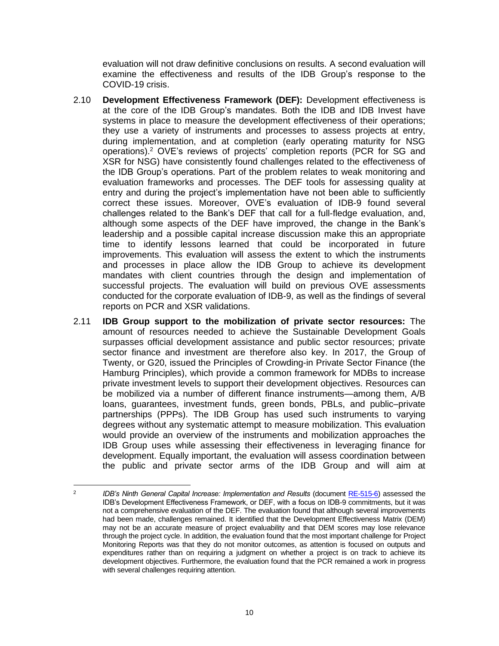evaluation will not draw definitive conclusions on results. A second evaluation will examine the effectiveness and results of the IDB Group's response to the COVID-19 crisis.

- 2.10 **Development Effectiveness Framework (DEF):** Development effectiveness is at the core of the IDB Group's mandates. Both the IDB and IDB Invest have systems in place to measure the development effectiveness of their operations; they use a variety of instruments and processes to assess projects at entry, during implementation, and at completion (early operating maturity for NSG operations). <sup>2</sup> OVE's reviews of projects' completion reports (PCR for SG and XSR for NSG) have consistently found challenges related to the effectiveness of the IDB Group's operations. Part of the problem relates to weak monitoring and evaluation frameworks and processes. The DEF tools for assessing quality at entry and during the project's implementation have not been able to sufficiently correct these issues. Moreover, OVE's evaluation of IDB-9 found several challenges related to the Bank's DEF that call for a full-fledge evaluation, and, although some aspects of the DEF have improved, the change in the Bank's leadership and a possible capital increase discussion make this an appropriate time to identify lessons learned that could be incorporated in future improvements. This evaluation will assess the extent to which the instruments and processes in place allow the IDB Group to achieve its development mandates with client countries through the design and implementation of successful projects. The evaluation will build on previous OVE assessments conducted for the corporate evaluation of IDB-9, as well as the findings of several reports on PCR and XSR validations.
- 2.11 **IDB Group support to the mobilization of private sector resources:** The amount of resources needed to achieve the Sustainable Development Goals surpasses official development assistance and public sector resources; private sector finance and investment are therefore also key. In 2017, the Group of Twenty, or G20, issued the Principles of Crowding-in Private Sector Finance (the Hamburg Principles), which provide a common framework for MDBs to increase private investment levels to support their development objectives. Resources can be mobilized via a number of different finance instruments—among them, A/B loans, guarantees, investment funds, green bonds, PBLs, and public–private partnerships (PPPs). The IDB Group has used such instruments to varying degrees without any systematic attempt to measure mobilization. This evaluation would provide an overview of the instruments and mobilization approaches the IDB Group uses while assessing their effectiveness in leveraging finance for development. Equally important, the evaluation will assess coordination between the public and private sector arms of the IDB Group and will aim at

<sup>2</sup> *IDB's Ninth General Capital Increase: Implementation and Results* (document [RE-515-6\)](https://publications.iadb.org/es/idbs-ninth-general-capital-increase-implementation-and-results) assessed the IDB's Development Effectiveness Framework, or DEF, with a focus on IDB-9 commitments, but it was not a comprehensive evaluation of the DEF. The evaluation found that although several improvements had been made, challenges remained. It identified that the Development Effectiveness Matrix (DEM) may not be an accurate measure of project evaluability and that DEM scores may lose relevance through the project cycle. In addition, the evaluation found that the most important challenge for Project Monitoring Reports was that they do not monitor outcomes, as attention is focused on outputs and expenditures rather than on requiring a judgment on whether a project is on track to achieve its development objectives. Furthermore, the evaluation found that the PCR remained a work in progress with several challenges requiring attention.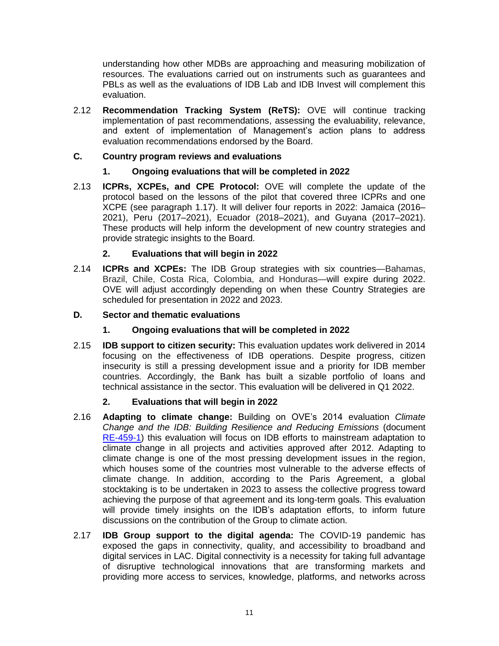understanding how other MDBs are approaching and measuring mobilization of resources. The evaluations carried out on instruments such as guarantees and PBLs as well as the evaluations of IDB Lab and IDB Invest will complement this evaluation.

2.12 **Recommendation Tracking System (ReTS):** OVE will continue tracking implementation of past recommendations, assessing the evaluability, relevance, and extent of implementation of Management's action plans to address evaluation recommendations endorsed by the Board.

# **C. Country program reviews and evaluations**

# **1. Ongoing evaluations that will be completed in 2022**

2.13 **ICPRs, XCPEs, and CPE Protocol:** OVE will complete the update of the protocol based on the lessons of the pilot that covered three ICPRs and one XCPE (see paragraph 1.17). It will deliver four reports in 2022: Jamaica (2016– 2021), Peru (2017–2021), Ecuador (2018–2021), and Guyana (2017–2021). These products will help inform the development of new country strategies and provide strategic insights to the Board.

# **2. Evaluations that will begin in 2022**

2.14 **ICPRs and XCPEs:** The IDB Group strategies with six countries—Bahamas, Brazil, Chile, Costa Rica, Colombia, and Honduras—will expire during 2022. OVE will adjust accordingly depending on when these Country Strategies are scheduled for presentation in 2022 and 2023.

# **D. Sector and thematic evaluations**

- **1. Ongoing evaluations that will be completed in 2022**
- 2.15 **IDB support to citizen security:** This evaluation updates work delivered in 2014 focusing on the effectiveness of IDB operations. Despite progress, citizen insecurity is still a pressing development issue and a priority for IDB member countries. Accordingly, the Bank has built a sizable portfolio of loans and technical assistance in the sector. This evaluation will be delivered in Q1 2022.

## **2. Evaluations that will begin in 2022**

- 2.16 **Adapting to climate change:** Building on OVE's 2014 evaluation *Climate Change and the IDB: Building Resilience and Reducing Emissions* (document [RE-459-1\)](http://sec.iadb.org/Site/Documents/DOC_Detail.aspx?pSecRegN=RE-459-1) this evaluation will focus on IDB efforts to mainstream adaptation to climate change in all projects and activities approved after 2012. Adapting to climate change is one of the most pressing development issues in the region, which houses some of the countries most vulnerable to the adverse effects of climate change. In addition, according to the Paris Agreement, a global stocktaking is to be undertaken in 2023 to assess the collective progress toward achieving the purpose of that agreement and its long-term goals. This evaluation will provide timely insights on the IDB's adaptation efforts, to inform future discussions on the contribution of the Group to climate action.
- 2.17 **IDB Group support to the digital agenda:** The COVID-19 pandemic has exposed the gaps in connectivity, quality, and accessibility to broadband and digital services in LAC. Digital connectivity is a necessity for taking full advantage of disruptive technological innovations that are transforming markets and providing more access to services, knowledge, platforms, and networks across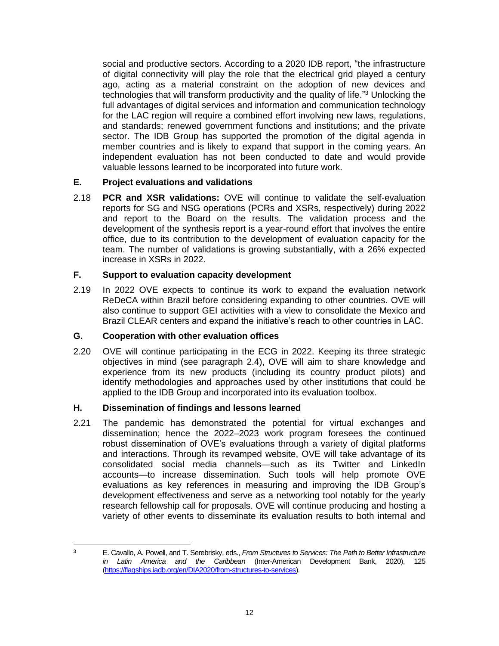social and productive sectors. According to a 2020 IDB report, "the infrastructure of digital connectivity will play the role that the electrical grid played a century ago, acting as a material constraint on the adoption of new devices and technologies that will transform productivity and the quality of life."<sup>3</sup> Unlocking the full advantages of digital services and information and communication technology for the LAC region will require a combined effort involving new laws, regulations, and standards; renewed government functions and institutions; and the private sector. The IDB Group has supported the promotion of the digital agenda in member countries and is likely to expand that support in the coming years. An independent evaluation has not been conducted to date and would provide valuable lessons learned to be incorporated into future work.

# **E. Project evaluations and validations**

2.18 **PCR and XSR validations:** OVE will continue to validate the self-evaluation reports for SG and NSG operations (PCRs and XSRs, respectively) during 2022 and report to the Board on the results. The validation process and the development of the synthesis report is a year-round effort that involves the entire office, due to its contribution to the development of evaluation capacity for the team. The number of validations is growing substantially, with a 26% expected increase in XSRs in 2022.

# **F. Support to evaluation capacity development**

2.19 In 2022 OVE expects to continue its work to expand the evaluation network ReDeCA within Brazil before considering expanding to other countries. OVE will also continue to support GEI activities with a view to consolidate the Mexico and Brazil CLEAR centers and expand the initiative's reach to other countries in LAC.

## **G. Cooperation with other evaluation offices**

2.20 OVE will continue participating in the ECG in 2022. Keeping its three strategic objectives in mind (see paragraph 2.4), OVE will aim to share knowledge and experience from its new products (including its country product pilots) and identify methodologies and approaches used by other institutions that could be applied to the IDB Group and incorporated into its evaluation toolbox.

## **H. Dissemination of findings and lessons learned**

2.21 The pandemic has demonstrated the potential for virtual exchanges and dissemination; hence the 2022–2023 work program foresees the continued robust dissemination of OVE's evaluations through a variety of digital platforms and interactions. Through its revamped website, OVE will take advantage of its consolidated social media channels—such as its Twitter and LinkedIn accounts—to increase dissemination. Such tools will help promote OVE evaluations as key references in measuring and improving the IDB Group's development effectiveness and serve as a networking tool notably for the yearly research fellowship call for proposals. OVE will continue producing and hosting a variety of other events to disseminate its evaluation results to both internal and

<sup>3</sup> E. Cavallo, A. Powell, and T. Serebrisky, eds., *From Structures to Services: The Path to Better Infrastructure in Latin America and the Caribbean* (Inter-American Development Bank, 2020), 125 [\(https://flagships.iadb.org/en/DIA2020/from-structures-to-services\)](https://flagships.iadb.org/en/DIA2020/from-structures-to-services).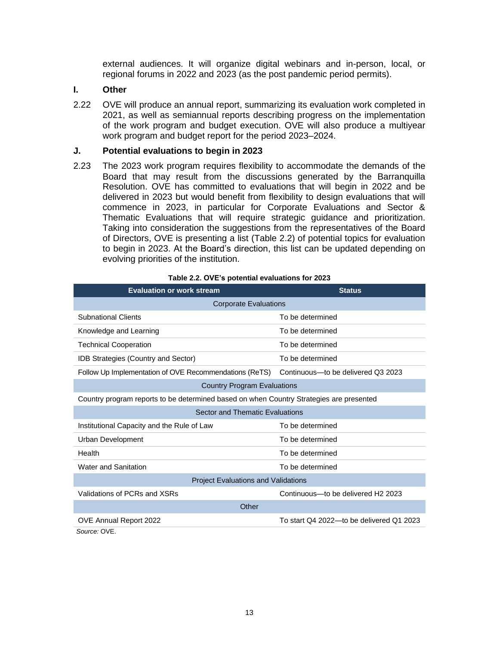external audiences. It will organize digital webinars and in-person, local, or regional forums in 2022 and 2023 (as the post pandemic period permits).

#### **I. Other**

2.22 OVE will produce an annual report, summarizing its evaluation work completed in 2021, as well as semiannual reports describing progress on the implementation of the work program and budget execution. OVE will also produce a multiyear work program and budget report for the period 2023–2024.

#### **J. Potential evaluations to begin in 2023**

2.23 The 2023 work program requires flexibility to accommodate the demands of the Board that may result from the discussions generated by the Barranquilla Resolution. OVE has committed to evaluations that will begin in 2022 and be delivered in 2023 but would benefit from flexibility to design evaluations that will commence in 2023, in particular for Corporate Evaluations and Sector & Thematic Evaluations that will require strategic guidance and prioritization. Taking into consideration the suggestions from the representatives of the Board of Directors, OVE is presenting a list (Table 2.2) of potential topics for evaluation to begin in 2023. At the Board's direction, this list can be updated depending on evolving priorities of the institution.

| <b>Evaluation or work stream</b>                                                        | <b>Status</b>                            |  |  |  |  |  |
|-----------------------------------------------------------------------------------------|------------------------------------------|--|--|--|--|--|
| <b>Corporate Evaluations</b>                                                            |                                          |  |  |  |  |  |
| <b>Subnational Clients</b>                                                              | To be determined                         |  |  |  |  |  |
| Knowledge and Learning                                                                  | To be determined                         |  |  |  |  |  |
| <b>Technical Cooperation</b>                                                            | To be determined                         |  |  |  |  |  |
| <b>IDB Strategies (Country and Sector)</b>                                              | To be determined                         |  |  |  |  |  |
| Follow Up Implementation of OVE Recommendations (ReTS)                                  | Continuous-to be delivered Q3 2023       |  |  |  |  |  |
| <b>Country Program Evaluations</b>                                                      |                                          |  |  |  |  |  |
| Country program reports to be determined based on when Country Strategies are presented |                                          |  |  |  |  |  |
| Sector and Thematic Evaluations                                                         |                                          |  |  |  |  |  |
| Institutional Capacity and the Rule of Law                                              | To be determined                         |  |  |  |  |  |
| Urban Development                                                                       | To be determined                         |  |  |  |  |  |
| Health                                                                                  | To be determined                         |  |  |  |  |  |
| Water and Sanitation                                                                    | To be determined                         |  |  |  |  |  |
| <b>Project Evaluations and Validations</b>                                              |                                          |  |  |  |  |  |
| Validations of PCRs and XSRs                                                            | Continuous-to be delivered H2 2023       |  |  |  |  |  |
| Other                                                                                   |                                          |  |  |  |  |  |
| OVE Annual Report 2022                                                                  | To start Q4 2022—to be delivered Q1 2023 |  |  |  |  |  |
| Source: OVE.                                                                            |                                          |  |  |  |  |  |

**Table 2.2. OVE's potential evaluations for 2023**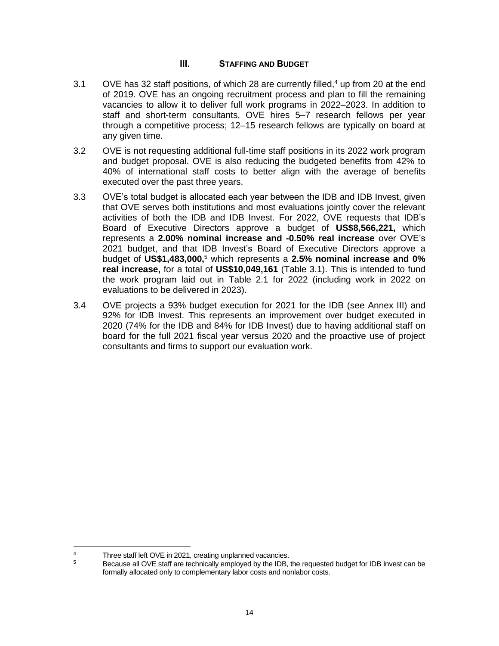## **III. STAFFING AND BUDGET**

- 3.1 OVE has 32 staff positions, of which 28 are currently filled,<sup>4</sup> up from 20 at the end of 2019. OVE has an ongoing recruitment process and plan to fill the remaining vacancies to allow it to deliver full work programs in 2022–2023. In addition to staff and short-term consultants, OVE hires 5–7 research fellows per year through a competitive process; 12–15 research fellows are typically on board at any given time.
- 3.2 OVE is not requesting additional full-time staff positions in its 2022 work program and budget proposal. OVE is also reducing the budgeted benefits from 42% to 40% of international staff costs to better align with the average of benefits executed over the past three years.
- 3.3 OVE's total budget is allocated each year between the IDB and IDB Invest, given that OVE serves both institutions and most evaluations jointly cover the relevant activities of both the IDB and IDB Invest. For 2022, OVE requests that IDB's Board of Executive Directors approve a budget of **US\$8,566,221,** which represents a **2.00% nominal increase and -0.50% real increase** over OVE's 2021 budget, and that IDB Invest's Board of Executive Directors approve a budget of **US\$1,483,000,** <sup>5</sup> which represents a **2.5% nominal increase and 0% real increase,** for a total of **US\$10,049,161** (Table 3.1). This is intended to fund the work program laid out in Table 2.1 for 2022 (including work in 2022 on evaluations to be delivered in 2023).
- 3.4 OVE projects a 93% budget execution for 2021 for the IDB (see Annex III) and 92% for IDB Invest. This represents an improvement over budget executed in 2020 (74% for the IDB and 84% for IDB Invest) due to having additional staff on board for the full 2021 fiscal year versus 2020 and the proactive use of project consultants and firms to support our evaluation work.

<sup>&</sup>lt;sup>4</sup> Three staff left OVE in 2021, creating unplanned vacancies.<br> **Because all OVE staff are technically employed by the IDB** 

<sup>5</sup> Because all OVE staff are technically employed by the IDB, the requested budget for IDB Invest can be formally allocated only to complementary labor costs and nonlabor costs.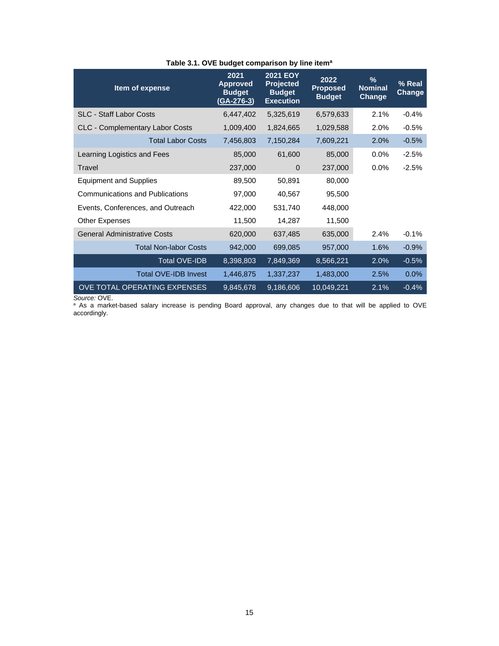| Item of expense                        | 2021<br><b>Approved</b><br><b>Budget</b><br>(GA-276-3) | <b>2021 EOY</b><br><b>Projected</b><br><b>Budget</b><br><b>Execution</b> | 2022<br><b>Proposed</b><br><b>Budget</b> | $\frac{9}{6}$<br><b>Nominal</b><br>Change | % Real<br>Change |
|----------------------------------------|--------------------------------------------------------|--------------------------------------------------------------------------|------------------------------------------|-------------------------------------------|------------------|
| <b>SLC - Staff Labor Costs</b>         | 6,447,402                                              | 5,325,619                                                                | 6,579,633                                | 2.1%                                      | $-0.4%$          |
| <b>CLC - Complementary Labor Costs</b> | 1,009,400                                              | 1,824,665                                                                | 1,029,588                                | 2.0%                                      | $-0.5%$          |
| <b>Total Labor Costs</b>               | 7,456,803                                              | 7,150,284                                                                | 7,609,221                                | 2.0%                                      | $-0.5%$          |
| Learning Logistics and Fees            | 85,000                                                 | 61,600                                                                   | 85,000                                   | 0.0%                                      | $-2.5%$          |
| Travel                                 | 237,000                                                | $\mathbf 0$                                                              | 237,000                                  | $0.0\%$                                   | $-2.5%$          |
| <b>Equipment and Supplies</b>          | 89,500                                                 | 50,891                                                                   | 80,000                                   |                                           |                  |
| <b>Communications and Publications</b> | 97,000                                                 | 40,567                                                                   | 95,500                                   |                                           |                  |
| Events, Conferences, and Outreach      | 422,000                                                | 531,740                                                                  | 448,000                                  |                                           |                  |
| <b>Other Expenses</b>                  | 11,500                                                 | 14,287                                                                   | 11,500                                   |                                           |                  |
| <b>General Administrative Costs</b>    | 620,000                                                | 637,485                                                                  | 635,000                                  | 2.4%                                      | $-0.1%$          |
| <b>Total Non-labor Costs</b>           | 942,000                                                | 699,085                                                                  | 957,000                                  | 1.6%                                      | $-0.9%$          |
| <b>Total OVE-IDB</b>                   | 8,398,803                                              | 7,849,369                                                                | 8,566,221                                | 2.0%                                      | $-0.5%$          |
| <b>Total OVE-IDB Invest</b>            | 1,446,875                                              | 1,337,237                                                                | 1,483,000                                | 2.5%                                      | 0.0%             |
| OVE TOTAL OPERATING EXPENSES           | 9,845,678                                              | 9,186,606                                                                | 10,049,221                               | 2.1%                                      | $-0.4%$          |

## **Table 3.1. OVE budget comparison by line item<sup>a</sup>**

*Source:* OVE.

<sup>a</sup> As a market-based salary increase is pending Board approval, any changes due to that will be applied to OVE accordingly.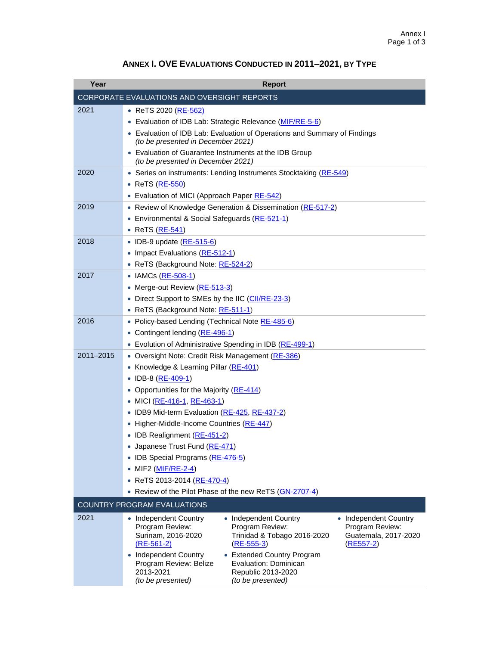| Year      | <b>Report</b>                                                                                                                                                                                                                                                                                                                                                                                                                                                                                                                              |
|-----------|--------------------------------------------------------------------------------------------------------------------------------------------------------------------------------------------------------------------------------------------------------------------------------------------------------------------------------------------------------------------------------------------------------------------------------------------------------------------------------------------------------------------------------------------|
|           | <b>CORPORATE EVALUATIONS AND OVERSIGHT REPORTS</b>                                                                                                                                                                                                                                                                                                                                                                                                                                                                                         |
| 2021      | ● ReTS 2020 ( <u>RE-562)</u><br>Evaluation of IDB Lab: Strategic Relevance (MIF/RE-5-6)<br>$\bullet$<br>• Evaluation of IDB Lab: Evaluation of Operations and Summary of Findings<br>(to be presented in December 2021)<br>Evaluation of Guarantee Instruments at the IDB Group                                                                                                                                                                                                                                                            |
| 2020      | (to be presented in December 2021)<br>• Series on instruments: Lending Instruments Stocktaking (RE-549)<br>• ReTS (RE-550)<br>Evaluation of MICI (Approach Paper RE-542)                                                                                                                                                                                                                                                                                                                                                                   |
| 2019      | • Review of Knowledge Generation & Dissemination (RE-517-2)<br>Environmental & Social Safeguards (RE-521-1)<br>ReTS (RE-541)                                                                                                                                                                                                                                                                                                                                                                                                               |
| 2018      | • IDB-9 update (RE-515-6)<br>Impact Evaluations (RE-512-1)<br>ReTS (Background Note: RE-524-2)                                                                                                                                                                                                                                                                                                                                                                                                                                             |
| 2017      | IAMCs (RE-508-1)<br>Merge-out Review (RE-513-3)<br>Direct Support to SMEs by the IIC (CII/RE-23-3)<br>• ReTS (Background Note: RE-511-1)                                                                                                                                                                                                                                                                                                                                                                                                   |
| 2016      | Policy-based Lending (Technical Note RE-485-6)<br>Contingent lending (RE-496-1)<br>• Evolution of Administrative Spending in IDB (RE-499-1)                                                                                                                                                                                                                                                                                                                                                                                                |
| 2011-2015 | • Oversight Note: Credit Risk Management (RE-386)<br>Knowledge & Learning Pillar (RE-401)<br>$\bullet$<br>• IDB-8 (RE-409-1)<br>Opportunities for the Majority (RE-414)<br>• MICI (RE-416-1, RE-463-1)<br>IDB9 Mid-term Evaluation (RE-425, RE-437-2)<br>Higher-Middle-Income Countries (RE-447)<br>• IDB Realignment (RE-451-2)<br>• Japanese Trust Fund (RE-471)<br>IDB Special Programs (RE-476-5)<br>MIF2 (MIF/RE-2-4)<br>$\bullet$<br>• ReTS 2013-2014 ( <u>RE-470-4</u> )<br>• Review of the Pilot Phase of the new ReTS (GN-2707-4) |
|           | <b>COUNTRY PROGRAM EVALUATIONS</b>                                                                                                                                                                                                                                                                                                                                                                                                                                                                                                         |
| 2021      | • Independent Country<br>• Independent Country<br>• Independent Country<br>Program Review:<br>Program Review:<br>Program Review:<br>Surinam, 2016-2020<br>Trinidad & Tobago 2016-2020<br>Guatemala, 2017-2020<br>$(RE-561-2)$<br>$(RE-555-3)$<br><u>(RE557-2)</u><br><b>Independent Country</b><br>• Extended Country Program<br>Program Review: Belize<br>Evaluation: Dominican<br>2013-2021<br>Republic 2013-2020                                                                                                                        |

*(to be presented)*

*(to be presented)*

# **ANNEX I. OVE EVALUATIONS CONDUCTED IN 2011–2021, BY TYPE**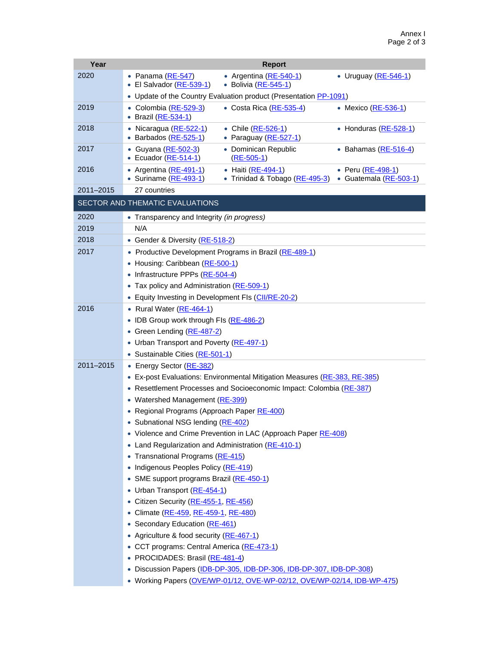| Year      | <b>Report</b>                                                                                                                                        |  |  |  |  |  |
|-----------|------------------------------------------------------------------------------------------------------------------------------------------------------|--|--|--|--|--|
| 2020      | • Argentina (RE-540-1)<br>• Panama (RE-547)<br>• Uruguay (RE-546-1)                                                                                  |  |  |  |  |  |
|           | • El Salvador (RE-539-1)<br>• Bolivia (RE-545-1)                                                                                                     |  |  |  |  |  |
|           | • Update of the Country Evaluation product (Presentation PP-1091)                                                                                    |  |  |  |  |  |
| 2019      | • Colombia (RE-529-3)<br>• Costa Rica (RE-535-4)<br>• Mexico ( $RE-536-1$ )<br>Brazil (RE-534-1)                                                     |  |  |  |  |  |
| 2018      | Nicaragua (RE-522-1)<br>• Chile (RE-526-1)<br>• Honduras (RE-528-1)<br>Barbados (RE-525-1)<br>• Paraguay (RE-527-1)                                  |  |  |  |  |  |
| 2017      | Guyana (RE-502-3)<br>• Dominican Republic<br>• Bahamas (RE-516-4)<br>٠<br>• Ecuador (RE-514-1)<br>$(RE-505-1)$                                       |  |  |  |  |  |
| 2016      | • Peru (RE-498-1)<br>Argentina (RE-491-1)<br>• Haiti (RE-494-1)<br>• Suriname (RE-493-1)<br>• Trinidad & Tobago (RE-495-3)<br>• Guatemala (RE-503-1) |  |  |  |  |  |
| 2011-2015 | 27 countries                                                                                                                                         |  |  |  |  |  |
|           | SECTOR AND THEMATIC EVALUATIONS                                                                                                                      |  |  |  |  |  |
| 2020      | • Transparency and Integrity (in progress)                                                                                                           |  |  |  |  |  |
| 2019      | N/A                                                                                                                                                  |  |  |  |  |  |
| 2018      | Gender & Diversity (RE-518-2)                                                                                                                        |  |  |  |  |  |
| 2017      | • Productive Development Programs in Brazil (RE-489-1)                                                                                               |  |  |  |  |  |
|           | Housing: Caribbean (RE-500-1)<br>$\bullet$                                                                                                           |  |  |  |  |  |
|           | • Infrastructure PPPs (RE-504-4)                                                                                                                     |  |  |  |  |  |
|           | • Tax policy and Administration (RE-509-1)                                                                                                           |  |  |  |  |  |
|           | Equity Investing in Development FIs (CII/RE-20-2)                                                                                                    |  |  |  |  |  |
| 2016      | • Rural Water (RE-464-1)                                                                                                                             |  |  |  |  |  |
|           | IDB Group work through FIs (RE-486-2)                                                                                                                |  |  |  |  |  |
|           | Green Lending (RE-487-2)<br>$\bullet$                                                                                                                |  |  |  |  |  |
|           | • Urban Transport and Poverty (RE-497-1)                                                                                                             |  |  |  |  |  |
|           | • Sustainable Cities (RE-501-1)                                                                                                                      |  |  |  |  |  |
| 2011-2015 | • Energy Sector (RE-382)                                                                                                                             |  |  |  |  |  |
|           | • Ex-post Evaluations: Environmental Mitigation Measures (RE-383, RE-385)                                                                            |  |  |  |  |  |
|           | • Resettlement Processes and Socioeconomic Impact: Colombia (RE-387)                                                                                 |  |  |  |  |  |
|           | • Watershed Management (RE-399)                                                                                                                      |  |  |  |  |  |
|           | • Regional Programs (Approach Paper RE-400)                                                                                                          |  |  |  |  |  |
|           | • Subnational NSG lending (RE-402)                                                                                                                   |  |  |  |  |  |
|           | • Violence and Crime Prevention in LAC (Approach Paper RE-408)                                                                                       |  |  |  |  |  |
|           | • Land Regularization and Administration (RE-410-1)                                                                                                  |  |  |  |  |  |
|           | • Transnational Programs (RE-415)                                                                                                                    |  |  |  |  |  |
|           | • Indigenous Peoples Policy (RE-419)                                                                                                                 |  |  |  |  |  |
|           | SME support programs Brazil (RE-450-1)<br>• Urban Transport (RE-454-1)                                                                               |  |  |  |  |  |
|           | • Citizen Security (RE-455-1, RE-456)                                                                                                                |  |  |  |  |  |
|           | • Climate (RE-459, RE-459-1, RE-480)                                                                                                                 |  |  |  |  |  |
|           | • Secondary Education (RE-461)                                                                                                                       |  |  |  |  |  |
|           | • Agriculture & food security (RE-467-1)                                                                                                             |  |  |  |  |  |
|           | • CCT programs: Central America (RE-473-1)                                                                                                           |  |  |  |  |  |
|           | • PROCIDADES: Brasil (RE-481-4)                                                                                                                      |  |  |  |  |  |
|           | · Discussion Papers (IDB-DP-305, IDB-DP-306, IDB-DP-307, IDB-DP-308)                                                                                 |  |  |  |  |  |
|           | • Working Papers (OVE/WP-01/12, OVE-WP-02/12, OVE/WP-02/14, IDB-WP-475)                                                                              |  |  |  |  |  |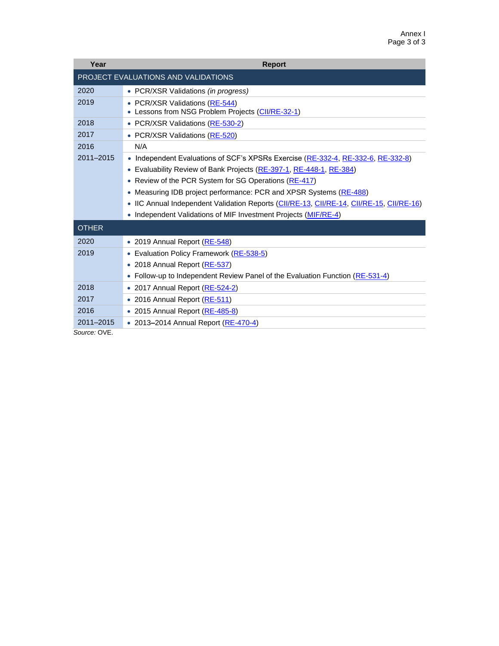| Year          | <b>Report</b>                                                                            |
|---------------|------------------------------------------------------------------------------------------|
|               | PROJECT EVALUATIONS AND VALIDATIONS                                                      |
| 2020          | • PCR/XSR Validations (in progress)                                                      |
| 2019          | • PCR/XSR Validations (RE-544)<br>• Lessons from NSG Problem Projects (CII/RE-32-1)      |
| 2018          | • PCR/XSR Validations (RE-530-2)                                                         |
| 2017          | • PCR/XSR Validations (RE-520)                                                           |
| 2016          | N/A                                                                                      |
| $2011 - 2015$ | • Independent Evaluations of SCF's XPSRs Exercise (RE-332-4, RE-332-6, RE-332-8)         |
|               | • Evaluability Review of Bank Projects (RE-397-1, RE-448-1, RE-384)                      |
|               | • Review of the PCR System for SG Operations (RE-417)                                    |
|               | • Measuring IDB project performance: PCR and XPSR Systems (RE-488)                       |
|               | • IIC Annual Independent Validation Reports (CII/RE-13, CII/RE-14, CII/RE-15, CII/RE-16) |
|               | • Independent Validations of MIF Investment Projects (MIF/RE-4)                          |
| <b>OTHER</b>  |                                                                                          |
| 2020          | • 2019 Annual Report (RE-548)                                                            |
| 2019          | • Evaluation Policy Framework (RE-538-5)                                                 |
|               | • 2018 Annual Report (RE-537)                                                            |
|               | • Follow-up to Independent Review Panel of the Evaluation Function (RE-531-4)            |
| 2018          | • 2017 Annual Report (RE-524-2)                                                          |
| 2017          | • 2016 Annual Report (RE-511)                                                            |
| 2016          | • 2015 Annual Report (RE-485-8)                                                          |
| 2011-2015     | • 2013–2014 Annual Report (RE-470-4)                                                     |
| Source: OVE.  |                                                                                          |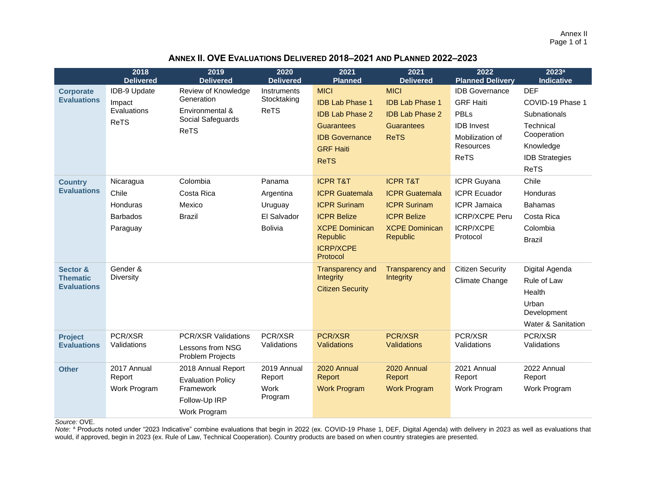Annex II Page 1 of 1

## **ANNEX II. OVE EVALUATIONS DELIVERED 2018–2021 AND PLANNED 2022–2023**

|                                        | 2018<br><b>Delivered</b> | 2019<br><b>Delivered</b>                            | 2020<br><b>Delivered</b>   | 2021<br><b>Planned</b>                     | 2021<br><b>Delivered</b>              | 2022<br><b>Planned Delivery</b>           | 2023 <sup>a</sup><br><b>Indicative</b> |
|----------------------------------------|--------------------------|-----------------------------------------------------|----------------------------|--------------------------------------------|---------------------------------------|-------------------------------------------|----------------------------------------|
| <b>Corporate</b><br><b>Evaluations</b> | IDB-9 Update<br>Impact   | Review of Knowledge<br>Generation                   | Instruments<br>Stocktaking | <b>MICI</b><br><b>IDB Lab Phase 1</b>      | <b>MICI</b><br><b>IDB Lab Phase 1</b> | <b>IDB</b> Governance<br><b>GRF Haiti</b> | <b>DEF</b><br>COVID-19 Phase 1         |
|                                        | Evaluations              | Environmental &<br>Social Safeguards<br><b>ReTS</b> | <b>ReTS</b>                | <b>IDB Lab Phase 2</b>                     | <b>IDB Lab Phase 2</b>                | <b>PBLs</b>                               | Subnationals                           |
|                                        | <b>ReTS</b>              |                                                     |                            | <b>Guarantees</b><br><b>IDB</b> Governance | <b>Guarantees</b><br><b>ReTS</b>      | <b>IDB</b> Invest<br>Mobilization of      | Technical<br>Cooperation               |
|                                        |                          |                                                     |                            | <b>GRF Haiti</b>                           |                                       | <b>Resources</b>                          | Knowledge                              |
|                                        |                          |                                                     |                            | <b>ReTS</b>                                |                                       | <b>ReTS</b>                               | <b>IDB Strategies</b>                  |
|                                        |                          |                                                     |                            |                                            |                                       |                                           | <b>ReTS</b>                            |
| <b>Country</b>                         | Nicaragua                | Colombia                                            | Panama                     | <b>ICPR T&amp;T</b>                        | <b>ICPR T&amp;T</b>                   | ICPR Guyana                               | Chile                                  |
| <b>Evaluations</b>                     | Chile                    | Costa Rica                                          | Argentina                  | <b>ICPR Guatemala</b>                      | <b>ICPR Guatemala</b>                 | <b>ICPR Ecuador</b>                       | Honduras                               |
|                                        | Honduras                 | Mexico                                              | Uruguay                    | <b>ICPR Surinam</b>                        | <b>ICPR Surinam</b>                   | <b>ICPR Jamaica</b>                       | <b>Bahamas</b>                         |
|                                        | <b>Barbados</b>          | <b>Brazil</b>                                       | El Salvador                | <b>ICPR Belize</b>                         | <b>ICPR Belize</b>                    | ICRP/XCPE Peru                            | Costa Rica                             |
|                                        | Paraguay                 |                                                     | <b>Bolivia</b>             | <b>XCPE Dominican</b>                      | <b>XCPE Dominican</b>                 | <b>ICRP/XCPE</b>                          | Colombia                               |
|                                        |                          |                                                     |                            | <b>Republic</b>                            | <b>Republic</b>                       | Protocol                                  | <b>Brazil</b>                          |
|                                        |                          |                                                     |                            | <b>ICRP/XCPE</b><br>Protocol               |                                       |                                           |                                        |
| Sector &                               | Gender &                 |                                                     |                            | <b>Transparency and</b>                    | <b>Transparency and</b>               | <b>Citizen Security</b>                   | Digital Agenda                         |
| <b>Thematic</b><br><b>Evaluations</b>  | <b>Diversity</b>         |                                                     |                            | Integrity                                  | <b>Integrity</b>                      | Climate Change                            | Rule of Law                            |
|                                        |                          |                                                     |                            | <b>Citizen Security</b>                    |                                       |                                           | Health                                 |
|                                        |                          |                                                     |                            |                                            |                                       |                                           | Urban<br>Development                   |
|                                        |                          |                                                     |                            |                                            |                                       |                                           | Water & Sanitation                     |
| <b>Project</b>                         | PCR/XSR                  | <b>PCR/XSR Validations</b>                          | PCR/XSR                    | <b>PCR/XSR</b>                             | PCR/XSR                               | PCR/XSR                                   | PCR/XSR                                |
| <b>Evaluations</b>                     | Validations              | Lessons from NSG<br>Problem Projects                | Validations                | Validations                                | <b>Validations</b>                    | Validations                               | Validations                            |
| <b>Other</b>                           | 2017 Annual              | 2018 Annual Report                                  | 2019 Annual                | 2020 Annual                                | 2020 Annual                           | 2021 Annual                               | 2022 Annual                            |
|                                        | Report                   | <b>Evaluation Policy</b>                            | Report                     | <b>Report</b>                              | Report                                | Report                                    | Report                                 |
|                                        | Work Program             | Framework                                           | Work<br>Program            | <b>Work Program</b>                        | <b>Work Program</b>                   | Work Program                              | Work Program                           |
|                                        |                          | Follow-Up IRP                                       |                            |                                            |                                       |                                           |                                        |
|                                        |                          | Work Program                                        |                            |                                            |                                       |                                           |                                        |

*Source:* OVE.

Note: <sup>a</sup> Products noted under "2023 Indicative" combine evaluations that begin in 2022 (ex. COVID-19 Phase 1, DEF, Digital Agenda) with delivery in 2023 as well as evaluations that would, if approved, begin in 2023 (ex. Rule of Law, Technical Cooperation). Country products are based on when country strategies are presented.